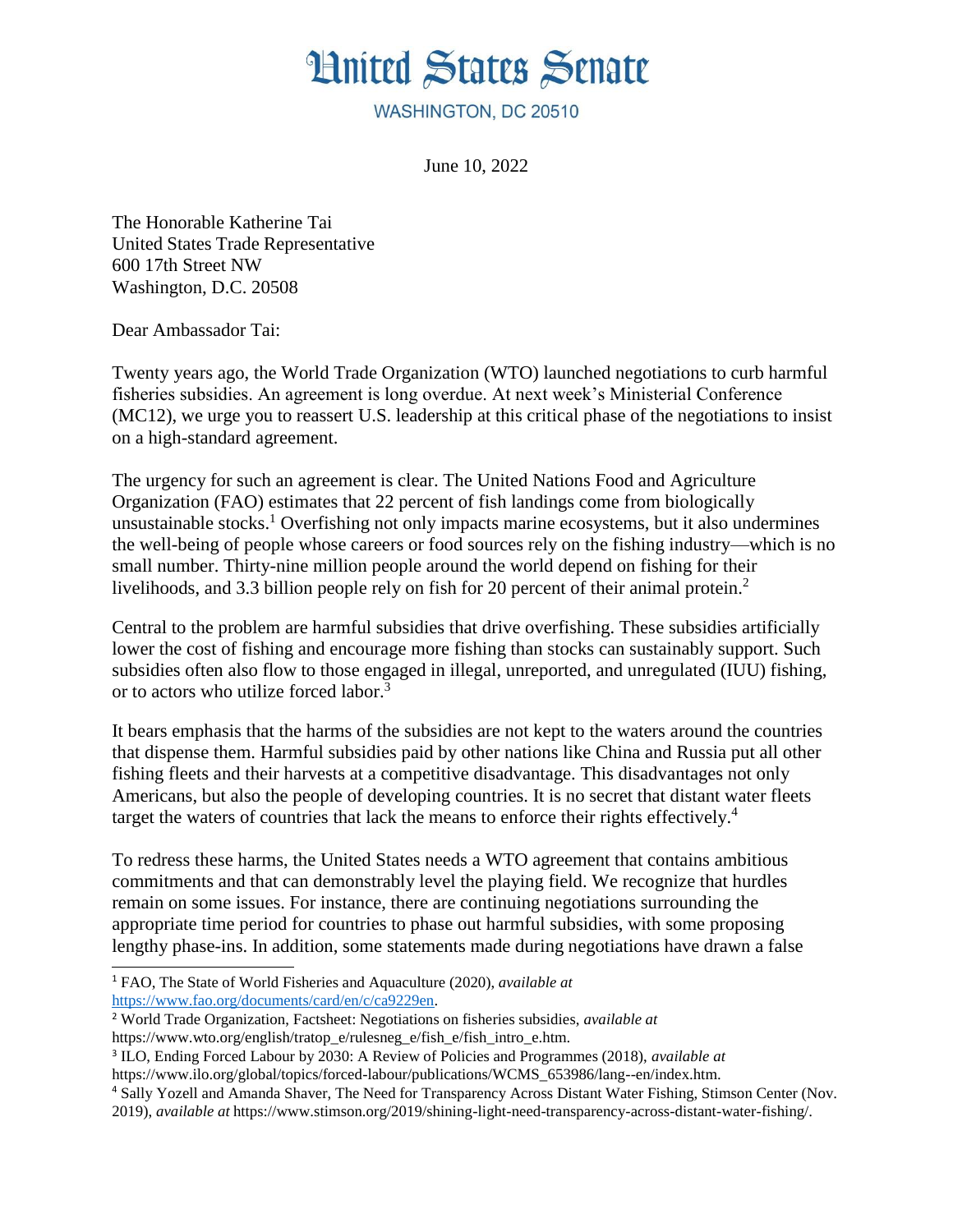

WASHINGTON, DC 20510

<span id="page-0-5"></span>June 10, 2022

The Honorable Katherine Tai United States Trade Representative 600 17th Street NW Washington, D.C. 20508

Dear Ambassador Tai:

Twenty years ago, the World Trade Organization (WTO) launched negotiations to curb harmful fisheries subsidies. An agreement is long overdue. At next week's Ministerial Conference (MC12), we urge you to reassert U.S. leadership at this critical phase of the negotiations to insist on a high-standard agreement.

<span id="page-0-4"></span>The urgency for such an agreement is clear. The United Nations Food and Agriculture Organization (FAO) estimates that 22 percent of fish landings come from biologically unsustainable stocks.<sup>[1](#page-0-0)</sup> Overfishing not only impacts marine ecosystems, but it also undermines the well-being of people whose careers or food sources rely on the fishing industry—which is no small number. Thirty-nine million people around the world depend on fishing for their livelihoods, and 3.3 billion people rely on fish for [2](#page-0-1)0 percent of their animal protein.<sup>2</sup>

<span id="page-0-6"></span>Central to the problem are harmful subsidies that drive overfishing. These subsidies artificially lower the cost of fishing and encourage more fishing than stocks can sustainably support. Such subsidies often also flow to those engaged in illegal, unreported, and unregulated (IUU) fishing, or to actors who utilize forced labor.<sup>[3](#page-0-2)</sup>

It bears emphasis that the harms of the subsidies are not kept to the waters around the countries that dispense them. Harmful subsidies paid by other nations like China and Russia put all other fishing fleets and their harvests at a competitive disadvantage. This disadvantages not only Americans, but also the people of developing countries. It is no secret that distant water fleets target the waters of countries that lack the means to enforce their rights effectively.<sup>[4](#page-0-3)</sup>

<span id="page-0-7"></span>To redress these harms, the United States needs a WTO agreement that contains ambitious commitments and that can demonstrably level the playing field. We recognize that hurdles remain on some issues. For instance, there are continuing negotiations surrounding the appropriate time period for countries to phase out harmful subsidies, with some proposing lengthy phase-ins. In addition, some statements made during negotiations have drawn a false

<span id="page-0-2"></span>3 [I](#page-0-6)LO, Ending Forced Labour by 2030: A Review of Policies and Programmes (2018), *available at*

<sup>4</sup> [S](#page-0-7)ally Yozell and Amanda Shaver, The Need for Transparency Across Distant Water Fishing, Stimson Center (Nov. 2019), *available at* https:/[/www.stimson.org/2019/shining-light-need-transparency-across-distant-water-fishing/.](http://www.stimson.org/2019/shining-light-need-transparency-across-distant-water-fishing/)

<span id="page-0-0"></span><sup>1</sup> [F](#page-0-4)AO, The State of World Fisheries and Aquaculture (2020), *available at* [https://www.fao.org/documents/card/en/c/ca9229en.](https://www.fao.org/documents/card/en/c/ca9229en)

<span id="page-0-1"></span><sup>2</sup> [W](#page-0-5)orld Trade Organization, Factsheet: Negotiations on fisheries subsidies, *available at* https:/[/www.wto.org/english/tratop\\_e/rulesneg\\_e/fish\\_e/fish\\_intro\\_e.htm.](http://www.wto.org/english/tratop_e/rulesneg_e/fish_e/fish_intro_e.htm)

<span id="page-0-3"></span>https:/[/www.ilo.org/global/topics/forced-labour/publications/WCMS\\_653986/lang--en/index.htm.](http://www.ilo.org/global/topics/forced-labour/publications/WCMS_653986/lang--en/index.htm)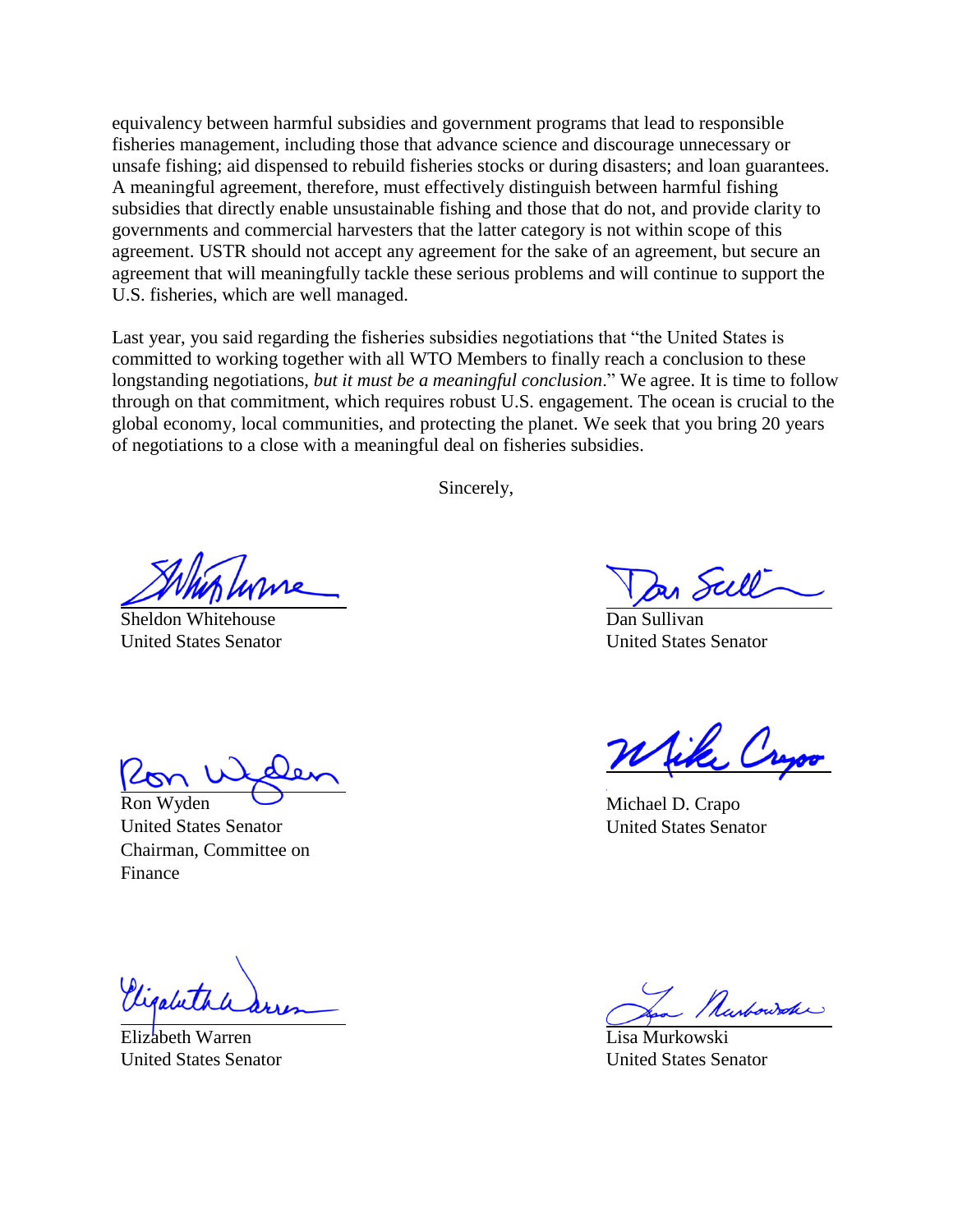equivalency between harmful subsidies and government programs that lead to responsible fisheries management, including those that advance science and discourage unnecessary or unsafe fishing; aid dispensed to rebuild fisheries stocks or during disasters; and loan guarantees. A meaningful agreement, therefore, must effectively distinguish between harmful fishing subsidies that directly enable unsustainable fishing and those that do not, and provide clarity to governments and commercial harvesters that the latter category is not within scope of this agreement. USTR should not accept any agreement for the sake of an agreement, but secure an agreement that will meaningfully tackle these serious problems and will continue to support the U.S. fisheries, which are well managed.

Last year, you said regarding the fisheries subsidies negotiations that "the United States is committed to working together with all WTO Members to finally reach a conclusion to these longstanding negotiations, *but it must be a meaningful conclusion*." We agree. It is time to follow through on that commitment, which requires robust U.S. engagement. The ocean is crucial to the global economy, local communities, and protecting the planet. We seek that you bring 20 years of negotiations to a close with a meaningful deal on fisheries subsidies.

Sincerely,

Sheldon Whitehouse United States Senator

Ron Wyden United States Senator Chairman, Committee on Finance

Vigalut

Elizabeth Warren United States Senator

Dan Sullivan United States Senator

Michael D. Crapo United States Senator

Lisa Murkowski United States Senator